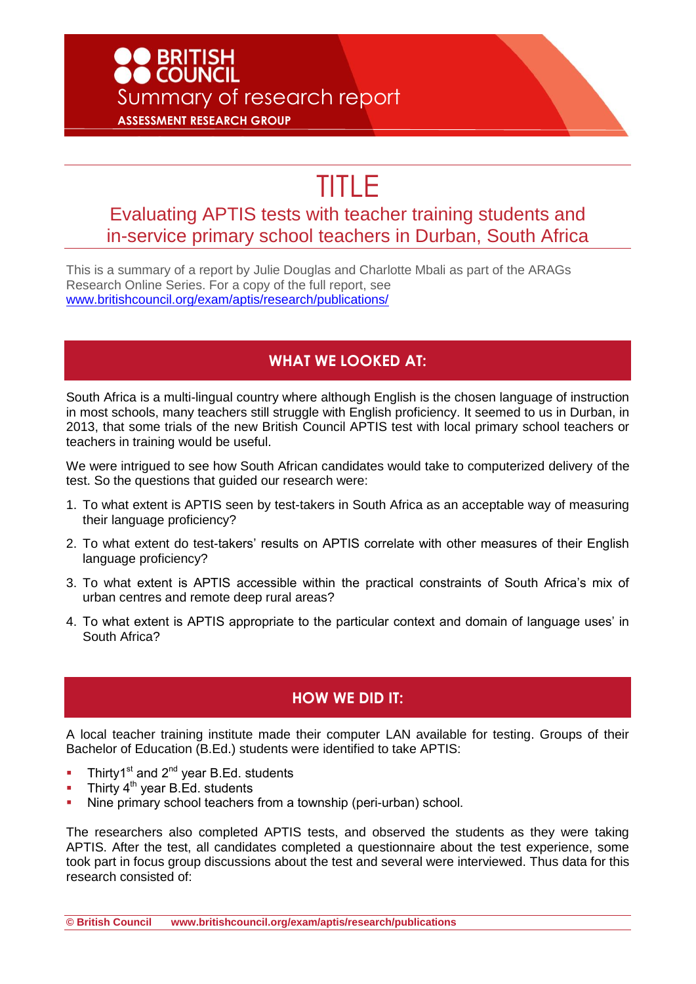# **D**<br>BRITISH<br>DCOUNCIL Summary of research report **ASSESSMENT RESEARCH GROUP**

# TITLE

## Evaluating APTIS tests with teacher training students and in-service primary school teachers in Durban, South Africa

This is a summary of a report by Julie Douglas and Charlotte Mbali as part of the ARAGs Research Online Series. For a copy of the full report, see [www.britishcouncil.org/exam/aptis/research/publications/](http://www.britishcouncil.org/exam/aptis/research/publications/)

#### **WHAT WE LOOKED AT:**

South Africa is a multi-lingual country where although English is the chosen language of instruction in most schools, many teachers still struggle with English proficiency. It seemed to us in Durban, in 2013, that some trials of the new British Council APTIS test with local primary school teachers or teachers in training would be useful.

We were intrigued to see how South African candidates would take to computerized delivery of the test. So the questions that guided our research were:

- 1. To what extent is APTIS seen by test-takers in South Africa as an acceptable way of measuring their language proficiency?
- 2. To what extent do test-takers' results on APTIS correlate with other measures of their English language proficiency?
- 3. To what extent is APTIS accessible within the practical constraints of South Africa's mix of urban centres and remote deep rural areas?
- 4. To what extent is APTIS appropriate to the particular context and domain of language uses' in South Africa?

### **HOW WE DID IT:**

A local teacher training institute made their computer LAN available for testing. Groups of their Bachelor of Education (B.Ed.) students were identified to take APTIS:

- Thirty1st and  $2^{nd}$  year B.Ed. students
- Thirty 4<sup>th</sup> year B.Ed. students
- Nine primary school teachers from a township (peri-urban) school.

The researchers also completed APTIS tests, and observed the students as they were taking APTIS. After the test, all candidates completed a questionnaire about the test experience, some took part in focus group discussions about the test and several were interviewed. Thus data for this research consisted of:

**© British Council www.britishcouncil.org/exam/aptis/research/publications**